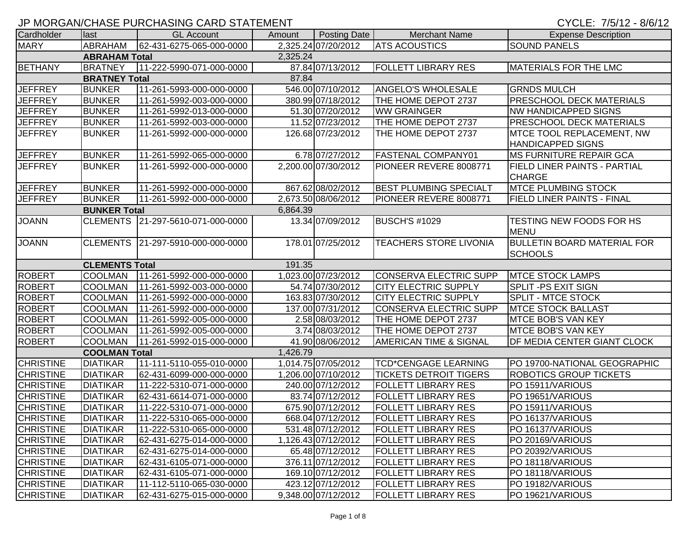| CYCLE: 7/5/12 - 8/6/12 |
|------------------------|
|------------------------|

|                  |                       | <u>JE INIONOAINOI IAJE FUNCITAJIINO CAND JTATEMENT</u> |          |                     |                               | UTULL. 1/J/TZ = 0/U/TZ              |
|------------------|-----------------------|--------------------------------------------------------|----------|---------------------|-------------------------------|-------------------------------------|
| Cardholder       | last                  | <b>GL Account</b>                                      | Amount   | <b>Posting Date</b> | <b>Merchant Name</b>          | <b>Expense Description</b>          |
| <b>MARY</b>      | <b>ABRAHAM</b>        | 62-431-6275-065-000-0000                               |          | 2,325.24 07/20/2012 | <b>ATS ACOUSTICS</b>          | <b>SOUND PANELS</b>                 |
|                  | <b>ABRAHAM Total</b>  |                                                        | 2,325.24 |                     |                               |                                     |
| <b>BETHANY</b>   | <b>BRATNEY</b>        | 11-222-5990-071-000-0000                               |          | 87.84 07/13/2012    | <b>FOLLETT LIBRARY RES</b>    | <b>MATERIALS FOR THE LMC</b>        |
|                  | <b>BRATNEY Total</b>  |                                                        | 87.84    |                     |                               |                                     |
| <b>JEFFREY</b>   | <b>BUNKER</b>         | 11-261-5993-000-000-0000                               |          | 546.00 07/10/2012   | <b>ANGELO'S WHOLESALE</b>     | <b>GRNDS MULCH</b>                  |
| <b>JEFFREY</b>   | <b>BUNKER</b>         | 11-261-5992-003-000-0000                               |          | 380.99 07/18/2012   | THE HOME DEPOT 2737           | <b>PRESCHOOL DECK MATERIALS</b>     |
| <b>JEFFREY</b>   | <b>BUNKER</b>         | 11-261-5992-013-000-0000                               |          | 51.30 07/20/2012    | <b>WW GRAINGER</b>            | <b>NW HANDICAPPED SIGNS</b>         |
| <b>JEFFREY</b>   | <b>BUNKER</b>         | 11-261-5992-003-000-0000                               |          | 11.52 07/23/2012    | THE HOME DEPOT 2737           | <b>PRESCHOOL DECK MATERIALS</b>     |
| <b>JEFFREY</b>   | <b>BUNKER</b>         | 11-261-5992-000-000-0000                               |          | 126.68 07/23/2012   | THE HOME DEPOT 2737           | MTCE TOOL REPLACEMENT, NW           |
|                  |                       |                                                        |          |                     |                               | <b>HANDICAPPED SIGNS</b>            |
| <b>JEFFREY</b>   | <b>BUNKER</b>         | 11-261-5992-065-000-0000                               |          | 6.78 07/27/2012     | <b>FASTENAL COMPANY01</b>     | <b>MS FURNITURE REPAIR GCA</b>      |
| <b>JEFFREY</b>   | <b>BUNKER</b>         | 11-261-5992-000-000-0000                               |          | 2,200.00 07/30/2012 | PIONEER REVERE 8008771        | <b>FIELD LINER PAINTS - PARTIAL</b> |
|                  |                       |                                                        |          |                     |                               | <b>CHARGE</b>                       |
| <b>JEFFREY</b>   | <b>BUNKER</b>         | 11-261-5992-000-000-0000                               |          | 867.62 08/02/2012   | <b>BEST PLUMBING SPECIALT</b> | <b>MTCE PLUMBING STOCK</b>          |
| <b>JEFFREY</b>   | <b>BUNKER</b>         | 11-261-5992-000-000-0000                               |          | 2,673.50 08/06/2012 | PIONEER REVERE 8008771        | <b>FIELD LINER PAINTS - FINAL</b>   |
|                  | <b>BUNKER Total</b>   |                                                        | 6,864.39 |                     |                               |                                     |
| <b>JOANN</b>     | <b>CLEMENTS</b>       | 21-297-5610-071-000-0000                               |          | 13.34 07/09/2012    | <b>BUSCH'S #1029</b>          | <b>TESTING NEW FOODS FOR HS</b>     |
|                  |                       |                                                        |          |                     |                               | <b>MENU</b>                         |
| <b>JOANN</b>     | <b>CLEMENTS</b>       | 21-297-5910-000-000-0000                               |          | 178.01 07/25/2012   | <b>TEACHERS STORE LIVONIA</b> | <b>BULLETIN BOARD MATERIAL FOR</b>  |
|                  |                       |                                                        |          |                     |                               | <b>SCHOOLS</b>                      |
|                  | <b>CLEMENTS Total</b> |                                                        | 191.35   |                     |                               |                                     |
| <b>ROBERT</b>    | <b>COOLMAN</b>        | 11-261-5992-000-000-0000                               |          | 1,023.00 07/23/2012 | <b>CONSERVA ELECTRIC SUPP</b> | <b>MTCE STOCK LAMPS</b>             |
| <b>ROBERT</b>    | <b>COOLMAN</b>        | 11-261-5992-003-000-0000                               |          | 54.74 07/30/2012    | <b>CITY ELECTRIC SUPPLY</b>   | <b>SPLIT-PS EXIT SIGN</b>           |
| <b>ROBERT</b>    | <b>COOLMAN</b>        | 11-261-5992-000-000-0000                               |          | 163.83 07/30/2012   | <b>CITY ELECTRIC SUPPLY</b>   | <b>SPLIT - MTCE STOCK</b>           |
| <b>ROBERT</b>    | <b>COOLMAN</b>        | 11-261-5992-000-000-0000                               |          | 137.00 07/31/2012   | <b>CONSERVA ELECTRIC SUPP</b> | <b>MTCE STOCK BALLAST</b>           |
| <b>ROBERT</b>    | <b>COOLMAN</b>        | 11-261-5992-005-000-0000                               |          | 2.58 08/03/2012     | THE HOME DEPOT 2737           | <b>MTCE BOB'S VAN KEY</b>           |
| <b>ROBERT</b>    | <b>COOLMAN</b>        | 11-261-5992-005-000-0000                               |          | 3.74 08/03/2012     | THE HOME DEPOT 2737           | <b>MTCE BOB'S VAN KEY</b>           |
| <b>ROBERT</b>    | <b>COOLMAN</b>        | 11-261-5992-015-000-0000                               |          | 41.90 08/06/2012    | AMERICAN TIME & SIGNAL        | DF MEDIA CENTER GIANT CLOCK         |
|                  | <b>COOLMAN Total</b>  |                                                        | 1,426.79 |                     |                               |                                     |
| <b>CHRISTINE</b> | <b>DIATIKAR</b>       | 11-111-5110-055-010-0000                               |          | 1,014.75 07/05/2012 | <b>TCD*CENGAGE LEARNING</b>   | PO 19700-NATIONAL GEOGRAPHIC        |
| <b>CHRISTINE</b> | <b>DIATIKAR</b>       | 62-431-6099-000-000-0000                               |          | 1,206.00 07/10/2012 | <b>TICKETS DETROIT TIGERS</b> | ROBOTICS GROUP TICKETS              |
| <b>CHRISTINE</b> | <b>DIATIKAR</b>       | 11-222-5310-071-000-0000                               |          | 240.00 07/12/2012   | <b>FOLLETT LIBRARY RES</b>    | PO 15911/VARIOUS                    |
| <b>CHRISTINE</b> | <b>DIATIKAR</b>       | 62-431-6614-071-000-0000                               |          | 83.74 07/12/2012    | <b>FOLLETT LIBRARY RES</b>    | PO 19651/VARIOUS                    |
| <b>CHRISTINE</b> | <b>DIATIKAR</b>       | 11-222-5310-071-000-0000                               |          | 675.90 07/12/2012   | <b>FOLLETT LIBRARY RES</b>    | PO 15911/VARIOUS                    |
| <b>CHRISTINE</b> | <b>DIATIKAR</b>       | 11-222-5310-065-000-0000                               |          | 668.04 07/12/2012   | <b>FOLLETT LIBRARY RES</b>    | PO 16137/VARIOUS                    |
| <b>CHRISTINE</b> | <b>DIATIKAR</b>       | 11-222-5310-065-000-0000                               |          | 531.48 07/12/2012   | <b>FOLLETT LIBRARY RES</b>    | PO 16137/VARIOUS                    |
| <b>CHRISTINE</b> | <b>DIATIKAR</b>       | 62-431-6275-014-000-0000                               |          | 1,126.43 07/12/2012 | <b>FOLLETT LIBRARY RES</b>    | PO 20169/VARIOUS                    |
| <b>CHRISTINE</b> | <b>DIATIKAR</b>       | 62-431-6275-014-000-0000                               |          | 65.48 07/12/2012    | <b>FOLLETT LIBRARY RES</b>    | PO 20392/VARIOUS                    |
| <b>CHRISTINE</b> | <b>DIATIKAR</b>       | 62-431-6105-071-000-0000                               |          | 376.11 07/12/2012   | <b>FOLLETT LIBRARY RES</b>    | PO 18118/VARIOUS                    |
| <b>CHRISTINE</b> | <b>DIATIKAR</b>       | 62-431-6105-071-000-0000                               |          | 169.10 07/12/2012   | <b>FOLLETT LIBRARY RES</b>    | PO 18118/VARIOUS                    |
| <b>CHRISTINE</b> | <b>DIATIKAR</b>       | 11-112-5110-065-030-0000                               |          | 423.12 07/12/2012   | <b>FOLLETT LIBRARY RES</b>    | PO 19182/VARIOUS                    |
| <b>CHRISTINE</b> | <b>DIATIKAR</b>       | 62-431-6275-015-000-0000                               |          | 9,348.00 07/12/2012 | <b>FOLLETT LIBRARY RES</b>    | PO 19621/VARIOUS                    |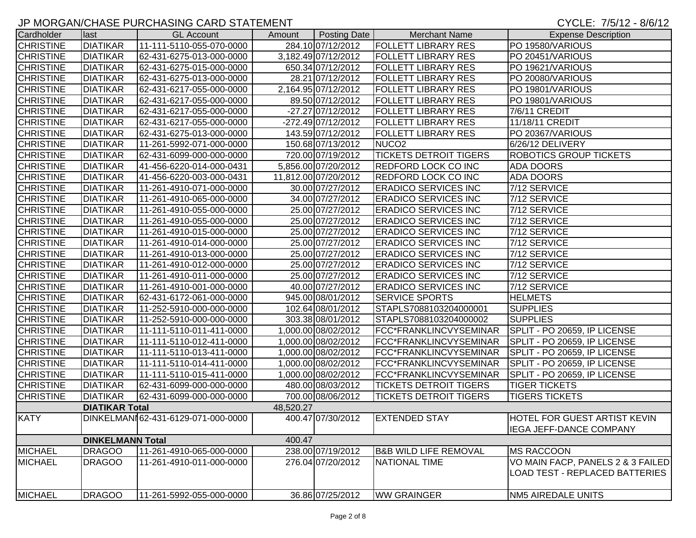### JP MORGAN/CHASE PURCHASING CARD STATEMENT CHARGES AND CONSIDER THE CYCLE: 7/5/12 - 8/6/12

| Cardholder       | last                    | <b>GL Account</b>                  | Amount    | Posting Date         | <b>Merchant Name</b>             | <b>Expense Description</b>        |
|------------------|-------------------------|------------------------------------|-----------|----------------------|----------------------------------|-----------------------------------|
| <b>CHRISTINE</b> | <b>DIATIKAR</b>         | 11-111-5110-055-070-0000           |           | 284.10 07/12/2012    | <b>FOLLETT LIBRARY RES</b>       | PO 19580/VARIOUS                  |
| <b>CHRISTINE</b> | <b>DIATIKAR</b>         | 62-431-6275-013-000-0000           |           | 3,182.49 07/12/2012  | <b>FOLLETT LIBRARY RES</b>       | PO 20451/VARIOUS                  |
| <b>CHRISTINE</b> | <b>DIATIKAR</b>         | 62-431-6275-015-000-0000           |           | 650.34 07/12/2012    | <b>FOLLETT LIBRARY RES</b>       | PO 19621/VARIOUS                  |
| <b>CHRISTINE</b> | <b>DIATIKAR</b>         | 62-431-6275-013-000-0000           |           | 28.21 07/12/2012     | <b>FOLLETT LIBRARY RES</b>       | PO 20080/VARIOUS                  |
| <b>CHRISTINE</b> | <b>DIATIKAR</b>         | 62-431-6217-055-000-0000           |           | 2,164.95 07/12/2012  | <b>FOLLETT LIBRARY RES</b>       | PO 19801/VARIOUS                  |
| <b>CHRISTINE</b> | <b>DIATIKAR</b>         | 62-431-6217-055-000-0000           |           | 89.50 07/12/2012     | <b>FOLLETT LIBRARY RES</b>       | PO 19801/VARIOUS                  |
| <b>CHRISTINE</b> | <b>DIATIKAR</b>         | 62-431-6217-055-000-0000           |           | -27.27 07/12/2012    | <b>FOLLETT LIBRARY RES</b>       | 7/6/11 CREDIT                     |
| <b>CHRISTINE</b> | <b>DIATIKAR</b>         | 62-431-6217-055-000-0000           |           | -272.49 07/12/2012   | <b>FOLLETT LIBRARY RES</b>       | 11/18/11 CREDIT                   |
| <b>CHRISTINE</b> | <b>DIATIKAR</b>         | 62-431-6275-013-000-0000           |           | 143.59 07/12/2012    | <b>FOLLETT LIBRARY RES</b>       | PO 20367/VARIOUS                  |
| <b>CHRISTINE</b> | <b>DIATIKAR</b>         | 11-261-5992-071-000-0000           |           | 150.68 07/13/2012    | NUCO <sub>2</sub>                | 6/26/12 DELIVERY                  |
| <b>CHRISTINE</b> | <b>DIATIKAR</b>         | 62-431-6099-000-000-0000           |           | 720.00 07/19/2012    | <b>TICKETS DETROIT TIGERS</b>    | <b>ROBOTICS GROUP TICKETS</b>     |
| <b>CHRISTINE</b> | <b>DIATIKAR</b>         | 41-456-6220-014-000-0431           |           | 5,856.00 07/20/2012  | <b>REDFORD LOCK CO INC</b>       | <b>ADA DOORS</b>                  |
| <b>CHRISTINE</b> | <b>DIATIKAR</b>         | 41-456-6220-003-000-0431           |           | 11,812.00 07/20/2012 | <b>REDFORD LOCK CO INC</b>       | <b>ADA DOORS</b>                  |
| <b>CHRISTINE</b> | <b>DIATIKAR</b>         | 11-261-4910-071-000-0000           |           | 30.00 07/27/2012     | <b>ERADICO SERVICES INC</b>      | 7/12 SERVICE                      |
| <b>CHRISTINE</b> | <b>DIATIKAR</b>         | 11-261-4910-065-000-0000           |           | 34.00 07/27/2012     | <b>ERADICO SERVICES INC</b>      | $\overline{7/12}$ SERVICE         |
| <b>CHRISTINE</b> | <b>DIATIKAR</b>         | 11-261-4910-055-000-0000           |           | 25.00 07/27/2012     | <b>ERADICO SERVICES INC</b>      | 7/12 SERVICE                      |
| <b>CHRISTINE</b> | <b>DIATIKAR</b>         | 11-261-4910-055-000-0000           |           | 25.00 07/27/2012     | <b>ERADICO SERVICES INC</b>      | 7/12 SERVICE                      |
| <b>CHRISTINE</b> | <b>DIATIKAR</b>         | 11-261-4910-015-000-0000           |           | 25.00 07/27/2012     | <b>ERADICO SERVICES INC</b>      | 7/12 SERVICE                      |
| <b>CHRISTINE</b> | <b>DIATIKAR</b>         | 11-261-4910-014-000-0000           |           | 25.00 07/27/2012     | <b>ERADICO SERVICES INC</b>      | 7/12 SERVICE                      |
| <b>CHRISTINE</b> | <b>DIATIKAR</b>         | 11-261-4910-013-000-0000           |           | 25.00 07/27/2012     | <b>ERADICO SERVICES INC</b>      | 7/12 SERVICE                      |
| <b>CHRISTINE</b> | <b>DIATIKAR</b>         | 11-261-4910-012-000-0000           |           | 25.00 07/27/2012     | <b>ERADICO SERVICES INC</b>      | 7/12 SERVICE                      |
| <b>CHRISTINE</b> | <b>DIATIKAR</b>         | 11-261-4910-011-000-0000           |           | 25.00 07/27/2012     | <b>ERADICO SERVICES INC</b>      | 7/12 SERVICE                      |
| <b>CHRISTINE</b> | <b>DIATIKAR</b>         | 11-261-4910-001-000-0000           |           | 40.00 07/27/2012     | <b>ERADICO SERVICES INC</b>      | 7/12 SERVICE                      |
| <b>CHRISTINE</b> | <b>DIATIKAR</b>         | 62-431-6172-061-000-0000           |           | 945.00 08/01/2012    | <b>SERVICE SPORTS</b>            | <b>HELMETS</b>                    |
| <b>CHRISTINE</b> | <b>DIATIKAR</b>         | 11-252-5910-000-000-0000           |           | 102.64 08/01/2012    | STAPLS7088103204000001           | <b>SUPPLIES</b>                   |
| <b>CHRISTINE</b> | <b>DIATIKAR</b>         | 11-252-5910-000-000-0000           |           | 303.38 08/01/2012    | STAPLS7088103204000002           | <b>SUPPLIES</b>                   |
| <b>CHRISTINE</b> | <b>DIATIKAR</b>         | 11-111-5110-011-411-0000           |           | 1,000.00 08/02/2012  | FCC*FRANKLINCVYSEMINAR           | SPLIT - PO 20659, IP LICENSE      |
| <b>CHRISTINE</b> | <b>DIATIKAR</b>         | 11-111-5110-012-411-0000           |           | 1,000.00 08/02/2012  | FCC*FRANKLINCVYSEMINAR           | SPLIT - PO 20659, IP LICENSE      |
| <b>CHRISTINE</b> | <b>DIATIKAR</b>         | 11-111-5110-013-411-0000           |           | 1,000.00 08/02/2012  | FCC*FRANKLINCVYSEMINAR           | SPLIT - PO 20659, IP LICENSE      |
| <b>CHRISTINE</b> | <b>DIATIKAR</b>         | 11-111-5110-014-411-0000           |           | 1,000.00 08/02/2012  | FCC*FRANKLINCVYSEMINAR           | SPLIT - PO 20659, IP LICENSE      |
| <b>CHRISTINE</b> | <b>DIATIKAR</b>         | 11-111-5110-015-411-0000           |           | 1,000.00 08/02/2012  | FCC*FRANKLINCVYSEMINAR           | SPLIT - PO 20659, IP LICENSE      |
| <b>CHRISTINE</b> | <b>DIATIKAR</b>         | 62-431-6099-000-000-0000           |           | 480.00 08/03/2012    | <b>TICKETS DETROIT TIGERS</b>    | <b>TIGER TICKETS</b>              |
| <b>CHRISTINE</b> | <b>DIATIKAR</b>         | 62-431-6099-000-000-0000           |           | 700.00 08/06/2012    | <b>TICKETS DETROIT TIGERS</b>    | <b>TIGERS TICKETS</b>             |
|                  | <b>DIATIKAR Total</b>   |                                    | 48,520.27 |                      |                                  |                                   |
| <b>KATY</b>      |                         | DINKELMANI62-431-6129-071-000-0000 |           | 400.47 07/30/2012    | <b>EXTENDED STAY</b>             | HOTEL FOR GUEST ARTIST KEVIN      |
|                  |                         |                                    |           |                      |                                  | <b>IEGA JEFF-DANCE COMPANY</b>    |
|                  | <b>DINKELMANN Total</b> |                                    | 400.47    |                      |                                  |                                   |
| <b>MICHAEL</b>   | <b>DRAGOO</b>           | 11-261-4910-065-000-0000           |           | 238.00 07/19/2012    | <b>B&amp;B WILD LIFE REMOVAL</b> | <b>MS RACCOON</b>                 |
| <b>MICHAEL</b>   | <b>DRAGOO</b>           | 11-261-4910-011-000-0000           |           | 276.04 07/20/2012    | NATIONAL TIME                    | VO MAIN FACP, PANELS 2 & 3 FAILED |
|                  |                         |                                    |           |                      |                                  | LOAD TEST - REPLACED BATTERIES    |
|                  |                         |                                    |           |                      |                                  |                                   |
| <b>MICHAEL</b>   | <b>DRAGOO</b>           | 11-261-5992-055-000-0000           |           | 36.86 07/25/2012     | <b>WW GRAINGER</b>               | <b>NM5 AIREDALE UNITS</b>         |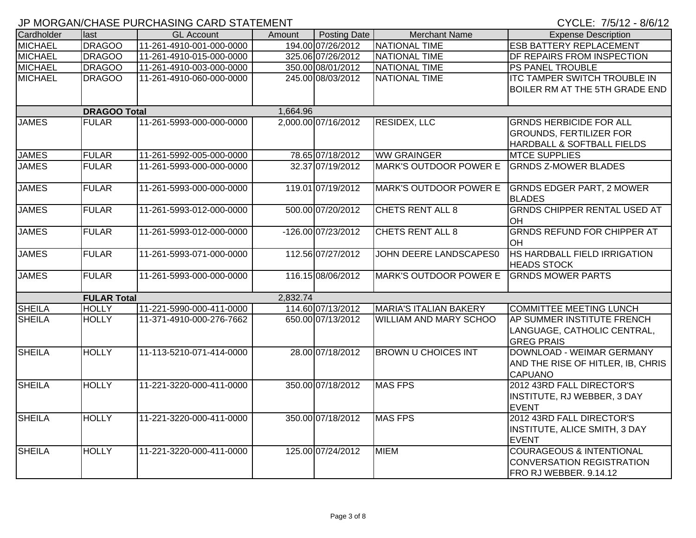| Cardholder     | last                | <b>GL Account</b>        | Amount   | Posting Date        | <b>Merchant Name</b>          | <b>Expense Description</b>                       |
|----------------|---------------------|--------------------------|----------|---------------------|-------------------------------|--------------------------------------------------|
| <b>MICHAEL</b> | <b>DRAGOO</b>       | 11-261-4910-001-000-0000 |          | 194.00 07/26/2012   | <b>NATIONAL TIME</b>          | <b>ESB BATTERY REPLACEMENT</b>                   |
| <b>MICHAEL</b> | <b>DRAGOO</b>       | 11-261-4910-015-000-0000 |          | 325.06 07/26/2012   | <b>NATIONAL TIME</b>          | <b>DF REPAIRS FROM INSPECTION</b>                |
| <b>MICHAEL</b> | <b>DRAGOO</b>       | 11-261-4910-003-000-0000 |          | 350.00 08/01/2012   | NATIONAL TIME                 | <b>PS PANEL TROUBLE</b>                          |
| <b>MICHAEL</b> | <b>DRAGOO</b>       | 11-261-4910-060-000-0000 |          | 245.00 08/03/2012   | NATIONAL TIME                 | <b>ITC TAMPER SWITCH TROUBLE IN</b>              |
|                |                     |                          |          |                     |                               | <b>BOILER RM AT THE 5TH GRADE END</b>            |
|                |                     |                          |          |                     |                               |                                                  |
|                | <b>DRAGOO Total</b> |                          | 1,664.96 |                     |                               |                                                  |
| <b>JAMES</b>   | <b>FULAR</b>        | 11-261-5993-000-000-0000 |          | 2,000.00 07/16/2012 | <b>RESIDEX, LLC</b>           | <b>GRNDS HERBICIDE FOR ALL</b>                   |
|                |                     |                          |          |                     |                               | <b>GROUNDS, FERTILIZER FOR</b>                   |
|                |                     |                          |          |                     |                               | <b>HARDBALL &amp; SOFTBALL FIELDS</b>            |
| <b>JAMES</b>   | <b>FULAR</b>        | 11-261-5992-005-000-0000 |          | 78.65 07/18/2012    | <b>WW GRAINGER</b>            | <b>MTCE SUPPLIES</b>                             |
| <b>JAMES</b>   | <b>FULAR</b>        | 11-261-5993-000-000-0000 |          | 32.37 07/19/2012    | <b>MARK'S OUTDOOR POWER E</b> | <b>GRNDS Z-MOWER BLADES</b>                      |
|                |                     |                          |          |                     |                               |                                                  |
| <b>JAMES</b>   | <b>FULAR</b>        | 11-261-5993-000-000-0000 |          | 119.01 07/19/2012   |                               | MARK'S OUTDOOR POWER E GRNDS EDGER PART, 2 MOWER |
|                |                     |                          |          |                     |                               | <b>BLADES</b>                                    |
| <b>JAMES</b>   | <b>FULAR</b>        | 11-261-5993-012-000-0000 |          | 500.00 07/20/2012   | CHETS RENT ALL 8              | <b>GRNDS CHIPPER RENTAL USED AT</b>              |
|                |                     |                          |          |                     |                               | OH                                               |
| <b>JAMES</b>   | <b>FULAR</b>        | 11-261-5993-012-000-0000 |          | -126.00 07/23/2012  | CHETS RENT ALL 8              | <b>GRNDS REFUND FOR CHIPPER AT</b>               |
|                |                     |                          |          |                     |                               | OH.                                              |
| <b>JAMES</b>   | <b>FULAR</b>        | 11-261-5993-071-000-0000 |          | 112.56 07/27/2012   | JOHN DEERE LANDSCAPES0        | HS HARDBALL FIELD IRRIGATION                     |
|                |                     |                          |          |                     |                               | <b>HEADS STOCK</b>                               |
| <b>JAMES</b>   | <b>FULAR</b>        | 11-261-5993-000-000-0000 |          | 116.15 08/06/2012   | <b>MARK'S OUTDOOR POWER E</b> | <b>GRNDS MOWER PARTS</b>                         |
|                |                     |                          |          |                     |                               |                                                  |
|                | <b>FULAR Total</b>  |                          | 2,832.74 |                     |                               |                                                  |
| <b>SHEILA</b>  | <b>HOLLY</b>        | 11-221-5990-000-411-0000 |          | 114.60 07/13/2012   | MARIA'S ITALIAN BAKERY        | <b>COMMITTEE MEETING LUNCH</b>                   |
| <b>SHEILA</b>  | <b>HOLLY</b>        | 11-371-4910-000-276-7662 |          | 650.00 07/13/2012   | <b>WILLIAM AND MARY SCHOO</b> | AP SUMMER INSTITUTE FRENCH                       |
|                |                     |                          |          |                     |                               | LANGUAGE, CATHOLIC CENTRAL,                      |
|                |                     |                          |          |                     |                               | <b>GREG PRAIS</b>                                |
| <b>SHEILA</b>  | <b>HOLLY</b>        | 11-113-5210-071-414-0000 |          | 28.00 07/18/2012    | <b>BROWN U CHOICES INT</b>    | DOWNLOAD - WEIMAR GERMANY                        |
|                |                     |                          |          |                     |                               | AND THE RISE OF HITLER, IB, CHRIS                |
|                |                     |                          |          |                     |                               | <b>CAPUANO</b>                                   |
| <b>SHEILA</b>  | <b>HOLLY</b>        | 11-221-3220-000-411-0000 |          | 350.00 07/18/2012   | <b>MAS FPS</b>                | 2012 43RD FALL DIRECTOR'S                        |
|                |                     |                          |          |                     |                               | <b>INSTITUTE, RJ WEBBER, 3 DAY</b>               |
|                |                     |                          |          |                     |                               | <b>EVENT</b>                                     |
| <b>SHEILA</b>  | <b>HOLLY</b>        | 11-221-3220-000-411-0000 |          | 350.00 07/18/2012   | <b>MAS FPS</b>                | 2012 43RD FALL DIRECTOR'S                        |
|                |                     |                          |          |                     |                               | INSTITUTE, ALICE SMITH, 3 DAY                    |
|                |                     |                          |          |                     |                               | <b>EVENT</b>                                     |
| <b>SHEILA</b>  | <b>HOLLY</b>        | 11-221-3220-000-411-0000 |          | 125.00 07/24/2012   | <b>MIEM</b>                   | <b>COURAGEOUS &amp; INTENTIONAL</b>              |
|                |                     |                          |          |                     |                               | <b>CONVERSATION REGISTRATION</b>                 |
|                |                     |                          |          |                     |                               | FRO RJ WEBBER. 9.14.12                           |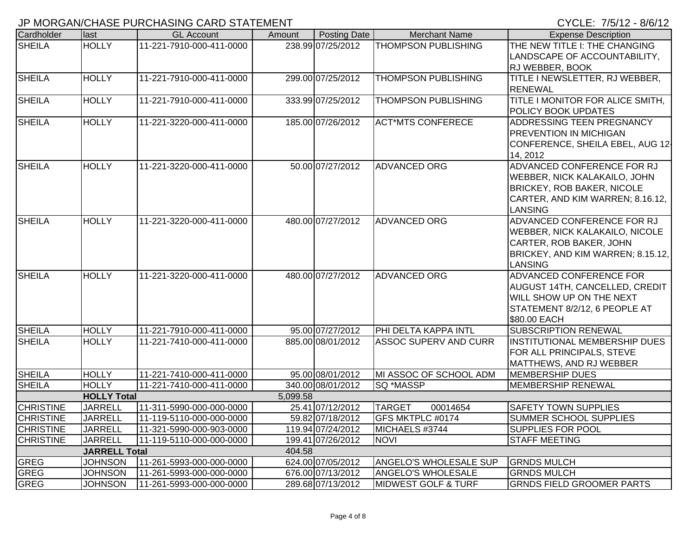## JP MORGAN/CHASE PURCHASING CARD STATEMENT CONTROL CONTROL CONTROL CYCLE: 7/5/12 - 8/6/12

|                  |                      | יי ויום ויום שיוויס שיווטו ויוסולים ו שט וויוס ויום ויום ויום |          |                   |                                |                                               |
|------------------|----------------------|---------------------------------------------------------------|----------|-------------------|--------------------------------|-----------------------------------------------|
| Cardholder       | llast                | <b>GL Account</b>                                             | Amount   | Posting Date      | <b>Merchant Name</b>           | <b>Expense Description</b>                    |
| <b>SHEILA</b>    | <b>HOLLY</b>         | 11-221-7910-000-411-0000                                      |          | 238.99 07/25/2012 | <b>THOMPSON PUBLISHING</b>     | THE NEW TITLE I: THE CHANGING                 |
|                  |                      |                                                               |          |                   |                                | LANDSCAPE OF ACCOUNTABILITY,                  |
|                  |                      |                                                               |          |                   |                                | <b>RJ WEBBER, BOOK</b>                        |
| <b>SHEILA</b>    | <b>HOLLY</b>         | 11-221-7910-000-411-0000                                      |          | 299.00 07/25/2012 | <b>THOMPSON PUBLISHING</b>     | TITLE I NEWSLETTER, RJ WEBBER,                |
|                  |                      |                                                               |          |                   |                                | <b>RENEWAL</b>                                |
| <b>SHEILA</b>    | <b>HOLLY</b>         | 11-221-7910-000-411-0000                                      |          | 333.99 07/25/2012 | <b>THOMPSON PUBLISHING</b>     | TITLE I MONITOR FOR ALICE SMITH,              |
|                  |                      |                                                               |          |                   |                                | POLICY BOOK UPDATES                           |
| <b>SHEILA</b>    | <b>HOLLY</b>         | 11-221-3220-000-411-0000                                      |          | 185.00 07/26/2012 | <b>ACT*MTS CONFERECE</b>       | ADDRESSING TEEN PREGNANCY                     |
|                  |                      |                                                               |          |                   |                                | <b>PREVENTION IN MICHIGAN</b>                 |
|                  |                      |                                                               |          |                   |                                | CONFERENCE, SHEILA EBEL, AUG 12-              |
|                  |                      |                                                               |          |                   |                                | 14, 2012                                      |
| <b>SHEILA</b>    | <b>HOLLY</b>         | 11-221-3220-000-411-0000                                      |          | 50.00 07/27/2012  | <b>ADVANCED ORG</b>            | ADVANCED CONFERENCE FOR RJ                    |
|                  |                      |                                                               |          |                   |                                | WEBBER, NICK KALAKAILO, JOHN                  |
|                  |                      |                                                               |          |                   |                                | <b>BRICKEY, ROB BAKER, NICOLE</b>             |
|                  |                      |                                                               |          |                   |                                | CARTER, AND KIM WARREN; 8.16.12,              |
|                  |                      |                                                               |          |                   |                                | <b>LANSING</b>                                |
| <b>SHEILA</b>    | <b>HOLLY</b>         | 11-221-3220-000-411-0000                                      |          | 480.00 07/27/2012 | <b>ADVANCED ORG</b>            | ADVANCED CONFERENCE FOR RJ                    |
|                  |                      |                                                               |          |                   |                                | WEBBER, NICK KALAKAILO, NICOLE                |
|                  |                      |                                                               |          |                   |                                | CARTER, ROB BAKER, JOHN                       |
|                  |                      |                                                               |          |                   |                                | BRICKEY, AND KIM WARREN; 8.15.12,             |
|                  |                      |                                                               |          |                   |                                | <b>LANSING</b>                                |
| <b>SHEILA</b>    | <b>HOLLY</b>         | 11-221-3220-000-411-0000                                      |          | 480.00 07/27/2012 | <b>ADVANCED ORG</b>            | ADVANCED CONFERENCE FOR                       |
|                  |                      |                                                               |          |                   |                                | <b>AUGUST 14TH, CANCELLED, CREDIT</b>         |
|                  |                      |                                                               |          |                   |                                | WILL SHOW UP ON THE NEXT                      |
|                  |                      |                                                               |          |                   |                                | STATEMENT 8/2/12, 6 PEOPLE AT<br>\$80.00 EACH |
| <b>SHEILA</b>    | <b>HOLLY</b>         | 11-221-7910-000-411-0000                                      |          | 95.00 07/27/2012  | PHI DELTA KAPPA INTL           | <b>SUBSCRIPTION RENEWAL</b>                   |
| <b>SHEILA</b>    | <b>HOLLY</b>         | 11-221-7410-000-411-0000                                      |          | 885.00 08/01/2012 | <b>ASSOC SUPERV AND CURR</b>   | <b>INSTITUTIONAL MEMBERSHIP DUES</b>          |
|                  |                      |                                                               |          |                   |                                | FOR ALL PRINCIPALS, STEVE                     |
|                  |                      |                                                               |          |                   |                                | MATTHEWS, AND RJ WEBBER                       |
| <b>SHEILA</b>    | <b>HOLLY</b>         | 11-221-7410-000-411-0000                                      |          | 95.00 08/01/2012  | MI ASSOC OF SCHOOL ADM         | <b>MEMBERSHIP DUES</b>                        |
| <b>SHEILA</b>    | <b>HOLLY</b>         | 11-221-7410-000-411-0000                                      |          | 340.00 08/01/2012 | <b>SQ *MASSP</b>               | <b>MEMBERSHIP RENEWAL</b>                     |
|                  | <b>HOLLY Total</b>   |                                                               | 5,099.58 |                   |                                |                                               |
| <b>CHRISTINE</b> | <b>JARRELL</b>       | 11-311-5990-000-000-0000                                      |          | 25.41 07/12/2012  | <b>TARGET</b><br>00014654      | <b>SAFETY TOWN SUPPLIES</b>                   |
| <b>CHRISTINE</b> | <b>JARRELL</b>       | 11-119-5110-000-000-0000                                      |          | 59.82 07/18/2012  | GFS MKTPLC #0174               | SUMMER SCHOOL SUPPLIES                        |
| <b>CHRISTINE</b> | <b>JARRELL</b>       | 11-321-5990-000-903-0000                                      |          | 119.94 07/24/2012 | MICHAELS #3744                 | <b>SUPPLIES FOR POOL</b>                      |
| <b>CHRISTINE</b> | <b>JARRELL</b>       | 11-119-5110-000-000-0000                                      |          | 199.41 07/26/2012 | <b>NOVI</b>                    | <b>STAFF MEETING</b>                          |
|                  | <b>JARRELL Total</b> |                                                               | 404.58   |                   |                                |                                               |
| GREG             | <b>JOHNSON</b>       | 11-261-5993-000-000-0000                                      |          | 624.00 07/05/2012 | <b>ANGELO'S WHOLESALE SUP</b>  | <b>GRNDS MULCH</b>                            |
| <b>GREG</b>      | <b>JOHNSON</b>       | 11-261-5993-000-000-0000                                      |          | 676.00 07/13/2012 | <b>ANGELO'S WHOLESALE</b>      | <b>GRNDS MULCH</b>                            |
| GREG             | <b>JOHNSON</b>       | 11-261-5993-000-000-0000                                      |          | 289.68 07/13/2012 | <b>MIDWEST GOLF &amp; TURF</b> | <b>GRNDS FIELD GROOMER PARTS</b>              |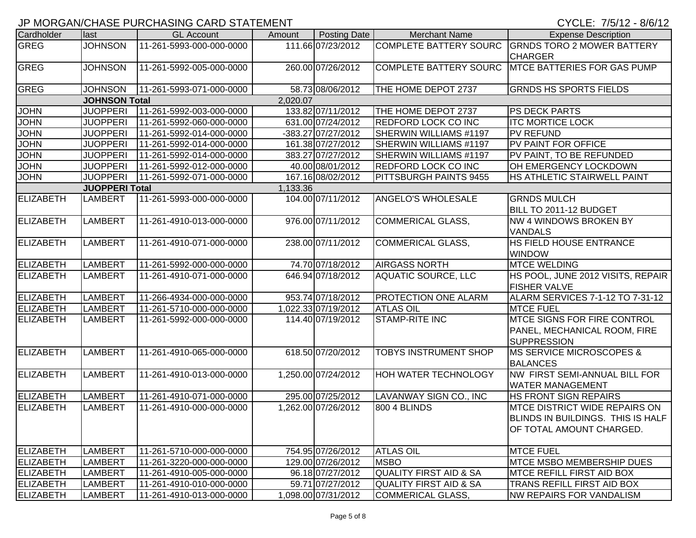## JP MORGAN/CHASE PURCHASING CARD STATEMENT CHARGES AND CONSIDER THE CYCLE: 7/5/12 - 8/6/12

| Cardholder       | last                  | <b>GL Account</b>        | Amount   | Posting Date        | <b>Merchant Name</b>              | <b>Expense Description</b>                                                                            |
|------------------|-----------------------|--------------------------|----------|---------------------|-----------------------------------|-------------------------------------------------------------------------------------------------------|
| GREG             | <b>JOHNSON</b>        | 11-261-5993-000-000-0000 |          | 111.66 07/23/2012   | <b>COMPLETE BATTERY SOURC</b>     | <b>GRNDS TORO 2 MOWER BATTERY</b><br><b>CHARGER</b>                                                   |
| <b>GREG</b>      | <b>JOHNSON</b>        | 11-261-5992-005-000-0000 |          | 260.00 07/26/2012   | <b>COMPLETE BATTERY SOURC</b>     | <b>MTCE BATTERIES FOR GAS PUMP</b>                                                                    |
| <b>GREG</b>      | <b>JOHNSON</b>        | 11-261-5993-071-000-0000 |          | 58.73 08/06/2012    | THE HOME DEPOT 2737               | <b>GRNDS HS SPORTS FIELDS</b>                                                                         |
|                  | <b>JOHNSON Total</b>  |                          | 2,020.07 |                     |                                   |                                                                                                       |
| <b>JOHN</b>      | <b>JUOPPERI</b>       | 11-261-5992-003-000-0000 |          | 133.82 07/11/2012   | THE HOME DEPOT 2737               | PS DECK PARTS                                                                                         |
| <b>JOHN</b>      | <b>JUOPPERI</b>       | 11-261-5992-060-000-0000 |          | 631.00 07/24/2012   | <b>REDFORD LOCK CO INC</b>        | <b>ITC MORTICE LOCK</b>                                                                               |
| <b>JOHN</b>      | <b>JUOPPERI</b>       | 11-261-5992-014-000-0000 |          | -383.27 07/27/2012  | SHERWIN WILLIAMS #1197            | <b>PV REFUND</b>                                                                                      |
| <b>JOHN</b>      | <b>JUOPPERI</b>       | 11-261-5992-014-000-0000 |          | 161.38 07/27/2012   | SHERWIN WILLIAMS #1197            | PV PAINT FOR OFFICE                                                                                   |
| <b>JOHN</b>      | <b>JUOPPERI</b>       | 11-261-5992-014-000-0000 |          | 383.27 07/27/2012   | SHERWIN WILLIAMS #1197            | PV PAINT, TO BE REFUNDED                                                                              |
| <b>JOHN</b>      | <b>JUOPPERI</b>       | 11-261-5992-012-000-0000 |          | 40.00 08/01/2012    | <b>REDFORD LOCK CO INC</b>        | OH EMERGENCY LOCKDOWN                                                                                 |
| <b>JOHN</b>      | <b>JUOPPERI</b>       | 11-261-5992-071-000-0000 |          | 167.16 08/02/2012   | <b>PITTSBURGH PAINTS 9455</b>     | HS ATHLETIC STAIRWELL PAINT                                                                           |
|                  | <b>JUOPPERI Total</b> |                          | 1,133.36 |                     |                                   |                                                                                                       |
| <b>ELIZABETH</b> | <b>LAMBERT</b>        | 11-261-5993-000-000-0000 |          | 104.00 07/11/2012   | ANGELO'S WHOLESALE                | <b>GRNDS MULCH</b><br>BILL TO 2011-12 BUDGET                                                          |
| <b>ELIZABETH</b> | <b>LAMBERT</b>        | 11-261-4910-013-000-0000 |          | 976.00 07/11/2012   | <b>COMMERICAL GLASS,</b>          | <b>NW 4 WINDOWS BROKEN BY</b><br><b>VANDALS</b>                                                       |
| <b>ELIZABETH</b> | <b>LAMBERT</b>        | 11-261-4910-071-000-0000 |          | 238.00 07/11/2012   | <b>COMMERICAL GLASS,</b>          | HS FIELD HOUSE ENTRANCE<br><b>WINDOW</b>                                                              |
| ELIZABETH        | <b>LAMBERT</b>        | 11-261-5992-000-000-0000 |          | 74.70 07/18/2012    | <b>AIRGASS NORTH</b>              | <b>MTCE WELDING</b>                                                                                   |
| <b>ELIZABETH</b> | <b>LAMBERT</b>        | 11-261-4910-071-000-0000 |          | 646.94 07/18/2012   | <b>AQUATIC SOURCE, LLC</b>        | HS POOL, JUNE 2012 VISITS, REPAIR<br><b>FISHER VALVE</b>                                              |
| ELIZABETH        | <b>LAMBERT</b>        | 11-266-4934-000-000-0000 |          | 953.74 07/18/2012   | PROTECTION ONE ALARM              | ALARM SERVICES 7-1-12 TO 7-31-12                                                                      |
| ELIZABETH        | <b>LAMBERT</b>        | 11-261-5710-000-000-0000 |          | 1,022.33 07/19/2012 | <b>ATLAS OIL</b>                  | <b>MTCE FUEL</b>                                                                                      |
| ELIZABETH        | <b>LAMBERT</b>        | 11-261-5992-000-000-0000 |          | 114.40 07/19/2012   | STAMP-RITE INC                    | <b>MTCE SIGNS FOR FIRE CONTROL</b><br>PANEL, MECHANICAL ROOM, FIRE<br><b>SUPPRESSION</b>              |
| <b>ELIZABETH</b> | <b>LAMBERT</b>        | 11-261-4910-065-000-0000 |          | 618.50 07/20/2012   | <b>TOBYS INSTRUMENT SHOP</b>      | <b>MS SERVICE MICROSCOPES &amp;</b><br><b>BALANCES</b>                                                |
| <b>ELIZABETH</b> | <b>LAMBERT</b>        | 11-261-4910-013-000-0000 |          | 1,250.00 07/24/2012 | <b>HOH WATER TECHNOLOGY</b>       | NW FIRST SEMI-ANNUAL BILL FOR<br><b>WATER MANAGEMENT</b>                                              |
| <b>ELIZABETH</b> | <b>LAMBERT</b>        | 11-261-4910-071-000-0000 |          | 295.00 07/25/2012   | LAVANWAY SIGN CO., INC            | HS FRONT SIGN REPAIRS                                                                                 |
| <b>ELIZABETH</b> | <b>LAMBERT</b>        | 11-261-4910-000-000-0000 |          | 1,262.00 07/26/2012 | 800 4 BLINDS                      | <b>MTCE DISTRICT WIDE REPAIRS ON</b><br>BLINDS IN BUILDINGS. THIS IS HALF<br>OF TOTAL AMOUNT CHARGED. |
| <b>ELIZABETH</b> | <b>LAMBERT</b>        | 11-261-5710-000-000-0000 |          | 754.95 07/26/2012   | <b>ATLAS OIL</b>                  | <b>MTCE FUEL</b>                                                                                      |
| ELIZABETH        | <b>LAMBERT</b>        | 11-261-3220-000-000-0000 |          | 129.00 07/26/2012   | <b>MSBO</b>                       | <b>MTCE MSBO MEMBERSHIP DUES</b>                                                                      |
| <b>ELIZABETH</b> | <b>LAMBERT</b>        | 11-261-4910-005-000-0000 |          | 96.18 07/27/2012    | <b>QUALITY FIRST AID &amp; SA</b> | <b>MTCE REFILL FIRST AID BOX</b>                                                                      |
| ELIZABETH        | <b>LAMBERT</b>        | 11-261-4910-010-000-0000 |          | 59.71 07/27/2012    | <b>QUALITY FIRST AID &amp; SA</b> | TRANS REFILL FIRST AID BOX                                                                            |
| <b>ELIZABETH</b> | <b>LAMBERT</b>        | 11-261-4910-013-000-0000 |          | 1,098.00 07/31/2012 | COMMERICAL GLASS,                 | <b>NW REPAIRS FOR VANDALISM</b>                                                                       |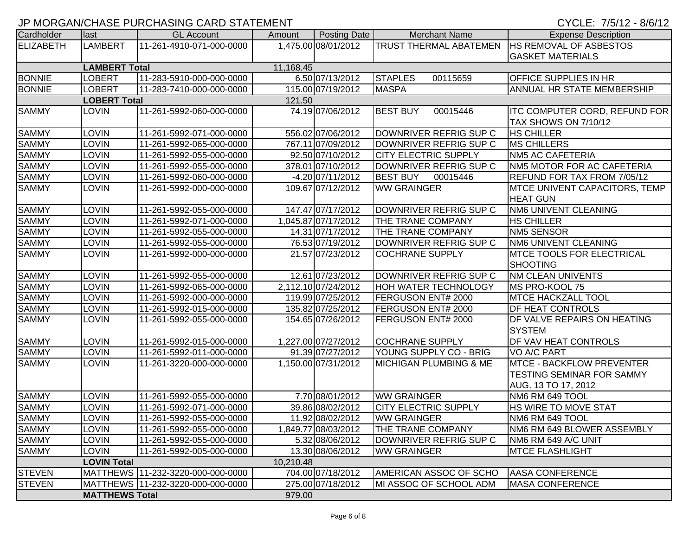|  | CYCLE: 7/5/12 - 8/6/12 |  |  |
|--|------------------------|--|--|
|  |                        |  |  |

|                  |                       | ו וווים וועשמו ומערונט ובעמונט ומערונט וויס און וויס און וויס אזורי וויס וויס און זיס וויס מ |           |                     |                                                 | $U U U L$ . $U U U U U U U$          |
|------------------|-----------------------|----------------------------------------------------------------------------------------------|-----------|---------------------|-------------------------------------------------|--------------------------------------|
| Cardholder       | llast                 | <b>GL Account</b>                                                                            | Amount    | Posting Date        | <b>Merchant Name</b>                            | <b>Expense Description</b>           |
| <b>ELIZABETH</b> | <b>LAMBERT</b>        | 11-261-4910-071-000-0000                                                                     |           | 1,475.00 08/01/2012 | TRUST THERMAL ABATEMEN   HS REMOVAL OF ASBESTOS |                                      |
|                  |                       |                                                                                              |           |                     |                                                 | <b>GASKET MATERIALS</b>              |
|                  | <b>LAMBERT Total</b>  |                                                                                              | 11,168.45 |                     |                                                 |                                      |
| <b>BONNIE</b>    | LOBERT                | 11-283-5910-000-000-0000                                                                     |           | 6.50 07/13/2012     | <b>STAPLES</b><br>00115659                      | <b>OFFICE SUPPLIES IN HR</b>         |
| <b>BONNIE</b>    | LOBERT                | 11-283-7410-000-000-0000                                                                     |           | 115.00 07/19/2012   | <b>MASPA</b>                                    | <b>ANNUAL HR STATE MEMBERSHIP</b>    |
|                  | <b>LOBERT Total</b>   |                                                                                              | 121.50    |                     |                                                 |                                      |
| <b>SAMMY</b>     | <b>LOVIN</b>          | 11-261-5992-060-000-0000                                                                     |           | 74.19 07/06/2012    | <b>BEST BUY</b><br>00015446                     | <b>ITC COMPUTER CORD, REFUND FOR</b> |
|                  |                       |                                                                                              |           |                     |                                                 | TAX SHOWS ON 7/10/12                 |
| <b>SAMMY</b>     | <b>LOVIN</b>          | 11-261-5992-071-000-0000                                                                     |           | 556.02 07/06/2012   | DOWNRIVER REFRIG SUP C                          | <b>HS CHILLER</b>                    |
| <b>SAMMY</b>     | <b>LOVIN</b>          | 11-261-5992-065-000-0000                                                                     |           | 767.11 07/09/2012   | DOWNRIVER REFRIG SUP C                          | <b>MS CHILLERS</b>                   |
| <b>SAMMY</b>     | LOVIN                 | 11-261-5992-055-000-0000                                                                     |           | 92.50 07/10/2012    | <b>CITY ELECTRIC SUPPLY</b>                     | <b>NM5 AC CAFETERIA</b>              |
| <b>SAMMY</b>     | LOVIN                 | 11-261-5992-055-000-0000                                                                     |           | 378.01 07/10/2012   | DOWNRIVER REFRIG SUP C                          | NM5 MOTOR FOR AC CAFETERIA           |
| <b>SAMMY</b>     | LOVIN                 | 11-261-5992-060-000-0000                                                                     |           | $-4.20$ 07/11/2012  | <b>BEST BUY</b><br>00015446                     | REFUND FOR TAX FROM 7/05/12          |
| <b>SAMMY</b>     | <b>LOVIN</b>          | 11-261-5992-000-000-0000                                                                     |           | 109.67 07/12/2012   | <b>WW GRAINGER</b>                              | <b>MTCE UNIVENT CAPACITORS, TEMP</b> |
|                  |                       |                                                                                              |           |                     |                                                 | <b>HEAT GUN</b>                      |
| <b>SAMMY</b>     | <b>LOVIN</b>          | 11-261-5992-055-000-0000                                                                     |           | 147.47 07/17/2012   | DOWNRIVER REFRIG SUP C                          | <b>NM6 UNIVENT CLEANING</b>          |
| <b>SAMMY</b>     | LOVIN                 | 11-261-5992-071-000-0000                                                                     |           | 1,045.87 07/17/2012 | THE TRANE COMPANY                               | <b>HS CHILLER</b>                    |
| <b>SAMMY</b>     | <b>LOVIN</b>          | 11-261-5992-055-000-0000                                                                     |           | 14.31 07/17/2012    | <b>THE TRANE COMPANY</b>                        | <b>NM5 SENSOR</b>                    |
| <b>SAMMY</b>     | <b>LOVIN</b>          | 11-261-5992-055-000-0000                                                                     |           | 76.53 07/19/2012    | DOWNRIVER REFRIG SUP C                          | <b>NM6 UNIVENT CLEANING</b>          |
| <b>SAMMY</b>     | <b>LOVIN</b>          | 11-261-5992-000-000-0000                                                                     |           | 21.57 07/23/2012    | <b>COCHRANE SUPPLY</b>                          | <b>MTCE TOOLS FOR ELECTRICAL</b>     |
|                  |                       |                                                                                              |           |                     |                                                 | <b>SHOOTING</b>                      |
| <b>SAMMY</b>     | LOVIN                 | 11-261-5992-055-000-0000                                                                     |           | 12.61 07/23/2012    | DOWNRIVER REFRIG SUP C                          | <b>NM CLEAN UNIVENTS</b>             |
| <b>SAMMY</b>     | <b>LOVIN</b>          | 11-261-5992-065-000-0000                                                                     |           | 2,112.10 07/24/2012 | <b>HOH WATER TECHNOLOGY</b>                     | MS PRO-KOOL 75                       |
| <b>SAMMY</b>     | <b>LOVIN</b>          | 11-261-5992-000-000-0000                                                                     |           | 119.99 07/25/2012   | FERGUSON ENT# 2000                              | <b>MTCE HACKZALL TOOL</b>            |
| <b>SAMMY</b>     | <b>LOVIN</b>          | 11-261-5992-015-000-0000                                                                     |           | 135.82 07/25/2012   | <b>FERGUSON ENT# 2000</b>                       | DF HEAT CONTROLS                     |
| <b>SAMMY</b>     | <b>LOVIN</b>          | 11-261-5992-055-000-0000                                                                     |           | 154.65 07/26/2012   | FERGUSON ENT# 2000                              | DF VALVE REPAIRS ON HEATING          |
|                  |                       |                                                                                              |           |                     |                                                 | <b>SYSTEM</b>                        |
| <b>SAMMY</b>     | <b>LOVIN</b>          | 11-261-5992-015-000-0000                                                                     |           | 1,227.00 07/27/2012 | <b>COCHRANE SUPPLY</b>                          | DF VAV HEAT CONTROLS                 |
| <b>SAMMY</b>     | LOVIN                 | 11-261-5992-011-000-0000                                                                     |           | 91.39 07/27/2012    | YOUNG SUPPLY CO - BRIG                          | VO A/C PART                          |
| <b>SAMMY</b>     | LOVIN                 | 11-261-3220-000-000-0000                                                                     |           | 1,150.00 07/31/2012 | <b>MICHIGAN PLUMBING &amp; ME</b>               | <b>MTCE - BACKFLOW PREVENTER</b>     |
|                  |                       |                                                                                              |           |                     |                                                 | <b>TESTING SEMINAR FOR SAMMY</b>     |
|                  |                       |                                                                                              |           |                     |                                                 | AUG. 13 TO 17, 2012                  |
| <b>SAMMY</b>     | <b>LOVIN</b>          | 11-261-5992-055-000-0000                                                                     |           | 7.70 08/01/2012     | <b>WW GRAINGER</b>                              | NM6 RM 649 TOOL                      |
| <b>SAMMY</b>     | LOVIN                 | 11-261-5992-071-000-0000                                                                     |           | 39.86 08/02/2012    | <b>CITY ELECTRIC SUPPLY</b>                     | <b>HS WIRE TO MOVE STAT</b>          |
| <b>SAMMY</b>     | <b>LOVIN</b>          | 11-261-5992-055-000-0000                                                                     |           | 11.92 08/02/2012    | <b>WW GRAINGER</b>                              | NM6 RM 649 TOOL                      |
| <b>SAMMY</b>     | <b>LOVIN</b>          | 11-261-5992-055-000-0000                                                                     |           | 1,849.77 08/03/2012 | <b>THE TRANE COMPANY</b>                        | NM6 RM 649 BLOWER ASSEMBLY           |
| <b>SAMMY</b>     | LOVIN                 | 11-261-5992-055-000-0000                                                                     |           | 5.32 08/06/2012     | DOWNRIVER REFRIG SUP C                          | NM6 RM 649 A/C UNIT                  |
| <b>SAMMY</b>     | <b>LOVIN</b>          | 11-261-5992-005-000-0000                                                                     |           | 13.30 08/06/2012    | <b>WW GRAINGER</b>                              | <b>MTCE FLASHLIGHT</b>               |
|                  | <b>LOVIN Total</b>    |                                                                                              | 10,210.48 |                     |                                                 |                                      |
| <b>STEVEN</b>    |                       | MATTHEWS   11-232-3220-000-000-0000                                                          |           | 704.00 07/18/2012   | <b>AMERICAN ASSOC OF SCHO</b>                   | <b>AASA CONFERENCE</b>               |
| <b>STEVEN</b>    |                       | MATTHEWS   11-232-3220-000-000-0000                                                          |           | 275.00 07/18/2012   | MI ASSOC OF SCHOOL ADM                          | <b>MASA CONFERENCE</b>               |
|                  | <b>MATTHEWS Total</b> |                                                                                              | 979.00    |                     |                                                 |                                      |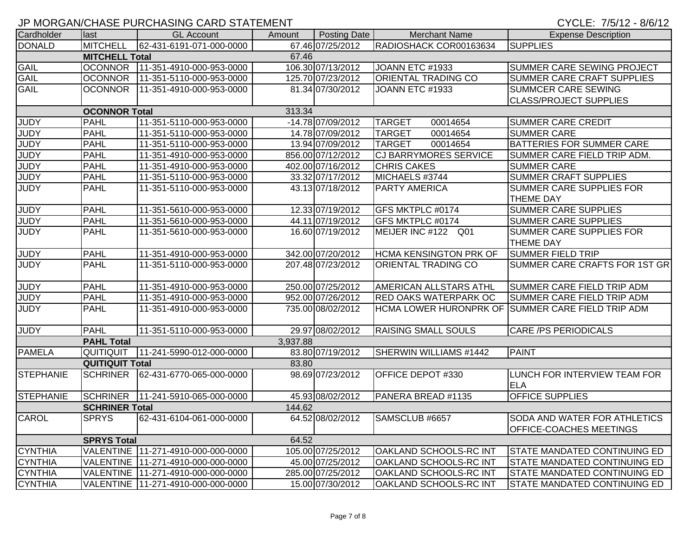## JP MORGAN/CHASE PURCHASING CARD STATEMENT CHARGES AND CONSIDER THE CYCLE: 7/5/12 - 8/6/12

| Cardholder       | llast                  | <b>GL Account</b>                    | Amount   | Posting Date      | <b>Merchant Name</b>          | <b>Expense Description</b>                        |
|------------------|------------------------|--------------------------------------|----------|-------------------|-------------------------------|---------------------------------------------------|
| <b>DONALD</b>    | <b>MITCHELL</b>        | 62-431-6191-071-000-0000             |          | 67.46 07/25/2012  | RADIOSHACK COR00163634        | <b>SUPPLIES</b>                                   |
|                  | <b>MITCHELL Total</b>  |                                      | 67.46    |                   |                               |                                                   |
| <b>GAIL</b>      | <b>OCONNOR</b>         | 11-351-4910-000-953-0000             |          | 106.30 07/13/2012 | JOANN ETC #1933               | SUMMER CARE SEWING PROJECT                        |
| <b>GAIL</b>      | <b>OCONNOR</b>         | 11-351-5110-000-953-0000             |          | 125.70 07/23/2012 | ORIENTAL TRADING CO           | SUMMER CARE CRAFT SUPPLIES                        |
| <b>GAIL</b>      | <b>OCONNOR</b>         | 111-351-4910-000-953-0000            |          | 81.34 07/30/2012  | JOANN ETC #1933               | SUMMCER CARE SEWING                               |
|                  |                        |                                      |          |                   |                               | <b>CLASS/PROJECT SUPPLIES</b>                     |
|                  | <b>OCONNOR Total</b>   |                                      | 313.34   |                   |                               |                                                   |
| <b>JUDY</b>      | PAHL                   | 11-351-5110-000-953-0000             |          | -14.78 07/09/2012 | <b>TARGET</b><br>00014654     | <b>SUMMER CARE CREDIT</b>                         |
| <b>JUDY</b>      | PAHL                   | 11-351-5110-000-953-0000             |          | 14.78 07/09/2012  | <b>TARGET</b><br>00014654     | <b>SUMMER CARE</b>                                |
| <b>JUDY</b>      | PAHL                   | 11-351-5110-000-953-0000             |          | 13.94 07/09/2012  | <b>TARGET</b><br>00014654     | BATTERIES FOR SUMMER CARE                         |
| <b>JUDY</b>      | <b>PAHL</b>            | 11-351-4910-000-953-0000             |          | 856.00 07/12/2012 | <b>CJ BARRYMORES SERVICE</b>  | SUMMER CARE FIELD TRIP ADM.                       |
| <b>JUDY</b>      | PAHL                   | 11-351-4910-000-953-0000             |          | 402.00 07/16/2012 | <b>CHRIS CAKES</b>            | <b>SUMMER CARE</b>                                |
| <b>JUDY</b>      | PAHL                   | 11-351-5110-000-953-0000             |          | 33.32 07/17/2012  | MICHAELS #3744                | <b>SUMMER CRAFT SUPPLIES</b>                      |
| <b>JUDY</b>      | PAHL                   | 11-351-5110-000-953-0000             |          | 43.13 07/18/2012  | <b>PARTY AMERICA</b>          | SUMMER CARE SUPPLIES FOR                          |
|                  |                        |                                      |          |                   |                               | <b>THEME DAY</b>                                  |
| <b>JUDY</b>      | PAHL                   | 11-351-5610-000-953-0000             |          | 12.33 07/19/2012  | GFS MKTPLC #0174              | <b>SUMMER CARE SUPPLIES</b>                       |
| <b>JUDY</b>      | PAHL                   | 11-351-5610-000-953-0000             |          | 44.11 07/19/2012  | GFS MKTPLC #0174              | <b>SUMMER CARE SUPPLIES</b>                       |
| <b>JUDY</b>      | PAHL                   | 11-351-5610-000-953-0000             |          | 16.60 07/19/2012  | MEIJER INC #122 Q01           | SUMMER CARE SUPPLIES FOR                          |
|                  |                        |                                      |          |                   |                               | <b>THEME DAY</b>                                  |
| <b>JUDY</b>      | <b>PAHL</b>            | 11-351-4910-000-953-0000             |          | 342.00 07/20/2012 | <b>HCMA KENSINGTON PRK OF</b> | <b>SUMMER FIELD TRIP</b>                          |
| <b>JUDY</b>      | PAHL                   | 11-351-5110-000-953-0000             |          | 207.48 07/23/2012 | ORIENTAL TRADING CO           | SUMMER CARE CRAFTS FOR 1ST GR                     |
|                  |                        |                                      |          |                   |                               |                                                   |
| <b>JUDY</b>      | PAHL                   | 11-351-4910-000-953-0000             |          | 250.00 07/25/2012 | AMERICAN ALLSTARS ATHL        | SUMMER CARE FIELD TRIP ADM                        |
| <b>JUDY</b>      | PAHL                   | 11-351-4910-000-953-0000             |          | 952.00 07/26/2012 | <b>RED OAKS WATERPARK OC</b>  | SUMMER CARE FIELD TRIP ADM                        |
| <b>JUDY</b>      | PAHL                   | 11-351-4910-000-953-0000             |          | 735.00 08/02/2012 |                               | HCMA LOWER HURONPRK OF SUMMER CARE FIELD TRIP ADM |
|                  |                        |                                      |          |                   |                               |                                                   |
| <b>JUDY</b>      | PAHL                   | 11-351-5110-000-953-0000             |          | 29.97 08/02/2012  | <b>RAISING SMALL SOULS</b>    | <b>CARE /PS PERIODICALS</b>                       |
|                  | <b>PAHL Total</b>      |                                      | 3,937.88 |                   |                               |                                                   |
| <b>PAMELA</b>    | QUITIQUIT              | 11-241-5990-012-000-0000             |          | 83.80 07/19/2012  | SHERWIN WILLIAMS #1442        | <b>PAINT</b>                                      |
|                  | <b>QUITIQUIT Total</b> |                                      | 83.80    |                   |                               |                                                   |
| <b>STEPHANIE</b> | <b>SCHRINER</b>        | 62-431-6770-065-000-0000             |          | 98.69 07/23/2012  | OFFICE DEPOT #330             | LUNCH FOR INTERVIEW TEAM FOR                      |
|                  |                        |                                      |          |                   |                               | <b>ELA</b>                                        |
| STEPHANIE        | <b>SCHRINER</b>        | 11-241-5910-065-000-0000             |          | 45.93 08/02/2012  | PANERA BREAD #1135            | <b>OFFICE SUPPLIES</b>                            |
|                  | <b>SCHRINER Total</b>  |                                      | 144.62   |                   |                               |                                                   |
| <b>CAROL</b>     | <b>SPRYS</b>           | 62-431-6104-061-000-0000             |          | 64.52 08/02/2012  | SAMSCLUB #6657                | <b>SODA AND WATER FOR ATHLETICS</b>               |
|                  |                        |                                      |          |                   |                               |                                                   |
|                  |                        |                                      |          |                   |                               | <b>OFFICE-COACHES MEETINGS</b>                    |
|                  | <b>SPRYS Total</b>     |                                      | 64.52    |                   |                               |                                                   |
| <b>CYNTHIA</b>   |                        | VALENTINE 11-271-4910-000-000-0000   |          | 105.00 07/25/2012 | OAKLAND SCHOOLS-RC INT        | <b>STATE MANDATED CONTINUING ED</b>               |
| <b>CYNTHIA</b>   |                        | VALENTINE   11-271-4910-000-000-0000 |          | 45.00 07/25/2012  | OAKLAND SCHOOLS-RC INT        | <b>STATE MANDATED CONTINUING ED</b>               |
| <b>CYNTHIA</b>   |                        | VALENTINE 11-271-4910-000-000-0000   |          | 285.00 07/25/2012 | OAKLAND SCHOOLS-RC INT        | <b>STATE MANDATED CONTINUING ED</b>               |
| <b>CYNTHIA</b>   |                        | VALENTINE 11-271-4910-000-000-0000   |          | 15.00 07/30/2012  | OAKLAND SCHOOLS-RC INT        | STATE MANDATED CONTINUING ED                      |